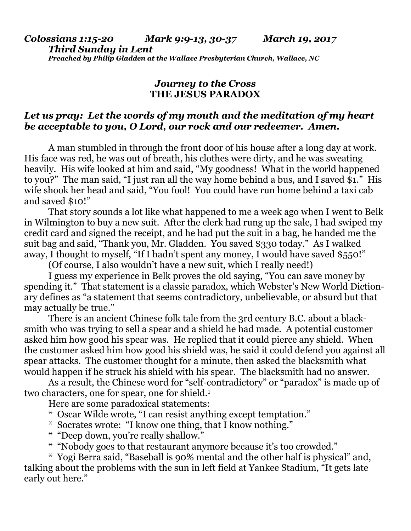## *Journey to the Cross* **THE JESUS PARADOX**

## *Let us pray: Let the words of my mouth and the meditation of my heart be acceptable to you, O Lord, our rock and our redeemer. Amen.*

A man stumbled in through the front door of his house after a long day at work. His face was red, he was out of breath, his clothes were dirty, and he was sweating heavily. His wife looked at him and said, "My goodness! What in the world happened to you?" The man said, "I just ran all the way home behind a bus, and I saved \$1." His wife shook her head and said, "You fool! You could have run home behind a taxi cab and saved \$10!"

That story sounds a lot like what happened to me a week ago when I went to Belk in Wilmington to buy a new suit. After the clerk had rung up the sale, I had swiped my credit card and signed the receipt, and he had put the suit in a bag, he handed me the suit bag and said, "Thank you, Mr. Gladden. You saved \$330 today." As I walked away, I thought to myself, "If I hadn't spent any money, I would have saved \$550!"

(Of course, I also wouldn't have a new suit, which I really need!)

I guess my experience in Belk proves the old saying, "You can save money by spending it." That statement is a classic paradox, which Webster's New World Dictionary defines as "a statement that seems contradictory, unbelievable, or absurd but that may actually be true."

There is an ancient Chinese folk tale from the 3rd century B.C. about a blacksmith who was trying to sell a spear and a shield he had made. A potential customer asked him how good his spear was. He replied that it could pierce any shield. When the customer asked him how good his shield was, he said it could defend you against all spear attacks. The customer thought for a minute, then asked the blacksmith what would happen if he struck his shield with his spear. The blacksmith had no answer.

As a result, the Chinese word for "self-contradictory" or "paradox" is made up of two characters, one for spear, one for shield.<sup>1</sup>

Here are some paradoxical statements:

- \* Oscar Wilde wrote, "I can resist anything except temptation."
- \* Socrates wrote: "I know one thing, that I know nothing."
- \* "Deep down, you're really shallow."
- \* "Nobody goes to that restaurant anymore because it's too crowded."

\* Yogi Berra said, "Baseball is 90% mental and the other half is physical" and, talking about the problems with the sun in left field at Yankee Stadium, "It gets late early out here."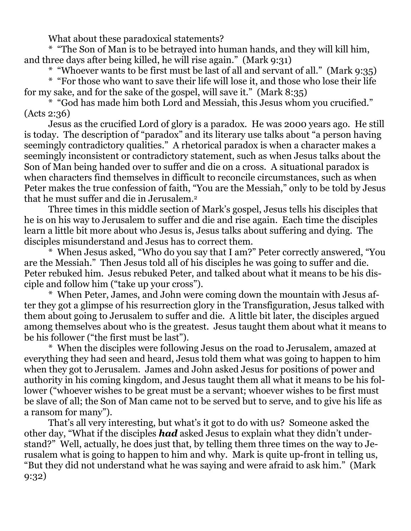What about these paradoxical statements?

\* "The Son of Man is to be betrayed into human hands, and they will kill him, and three days after being killed, he will rise again." (Mark 9:31)

\* "Whoever wants to be first must be last of all and servant of all." (Mark 9:35)

\* "For those who want to save their life will lose it, and those who lose their life for my sake, and for the sake of the gospel, will save it." (Mark 8:35)

\* "God has made him both Lord and Messiah, this Jesus whom you crucified." (Acts 2:36)

Jesus as the crucified Lord of glory is a paradox. He was 2000 years ago. He still is today. The description of "paradox" and its literary use talks about "a person having seemingly contradictory qualities." A rhetorical paradox is when a character makes a seemingly inconsistent or contradictory statement, such as when Jesus talks about the Son of Man being handed over to suffer and die on a cross. A situational paradox is when characters find themselves in difficult to reconcile circumstances, such as when Peter makes the true confession of faith, "You are the Messiah," only to be told by Jesus that he must suffer and die in Jerusalem.<sup>2</sup>

Three times in this middle section of Mark's gospel, Jesus tells his disciples that he is on his way to Jerusalem to suffer and die and rise again. Each time the disciples learn a little bit more about who Jesus is, Jesus talks about suffering and dying. The disciples misunderstand and Jesus has to correct them.

\* When Jesus asked, "Who do you say that I am?" Peter correctly answered, "You are the Messiah." Then Jesus told all of his disciples he was going to suffer and die. Peter rebuked him. Jesus rebuked Peter, and talked about what it means to be his disciple and follow him ("take up your cross").

\* When Peter, James, and John were coming down the mountain with Jesus after they got a glimpse of his resurrection glory in the Transfiguration, Jesus talked with them about going to Jerusalem to suffer and die. A little bit later, the disciples argued among themselves about who is the greatest. Jesus taught them about what it means to be his follower ("the first must be last").

\* When the disciples were following Jesus on the road to Jerusalem, amazed at everything they had seen and heard, Jesus told them what was going to happen to him when they got to Jerusalem. James and John asked Jesus for positions of power and authority in his coming kingdom, and Jesus taught them all what it means to be his follower ("whoever wishes to be great must be a servant; whoever wishes to be first must be slave of all; the Son of Man came not to be served but to serve, and to give his life as a ransom for many").

That's all very interesting, but what's it got to do with us? Someone asked the other day, "What if the disciples *had* asked Jesus to explain what they didn't understand?" Well, actually, he does just that, by telling them three times on the way to Jerusalem what is going to happen to him and why. Mark is quite up-front in telling us, "But they did not understand what he was saying and were afraid to ask him." (Mark 9:32)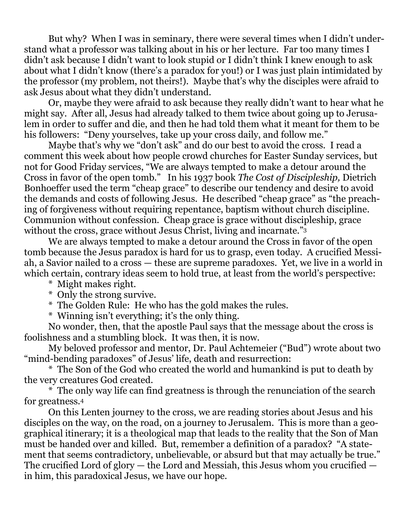But why? When I was in seminary, there were several times when I didn't understand what a professor was talking about in his or her lecture. Far too many times I didn't ask because I didn't want to look stupid or I didn't think I knew enough to ask about what I didn't know (there's a paradox for you!) or I was just plain intimidated by the professor (my problem, not theirs!). Maybe that's why the disciples were afraid to ask Jesus about what they didn't understand.

Or, maybe they were afraid to ask because they really didn't want to hear what he might say. After all, Jesus had already talked to them twice about going up to Jerusalem in order to suffer and die, and then he had told them what it meant for them to be his followers: "Deny yourselves, take up your cross daily, and follow me."

Maybe that's why we "don't ask" and do our best to avoid the cross. I read a comment this week about how people crowd churches for Easter Sunday services, but not for Good Friday services, "We are always tempted to make a detour around the Cross in favor of the open tomb." In his 1937 book *The Cost of Discipleship,* Dietrich Bonhoeffer used the term "cheap grace" to describe our tendency and desire to avoid the demands and costs of following Jesus. He described "cheap grace" as "the preaching of forgiveness without requiring repentance, baptism without church discipline. Communion without confession. Cheap grace is grace without discipleship, grace without the cross, grace without Jesus Christ, living and incarnate."<sup>3</sup>

We are always tempted to make a detour around the Cross in favor of the open tomb because the Jesus paradox is hard for us to grasp, even today. A crucified Messiah, a Savior nailed to a cross — these are supreme paradoxes. Yet, we live in a world in which certain, contrary ideas seem to hold true, at least from the world's perspective:

\* Might makes right.

\* Only the strong survive.

\* The Golden Rule: He who has the gold makes the rules.

\* Winning isn't everything; it's the only thing.

No wonder, then, that the apostle Paul says that the message about the cross is foolishness and a stumbling block. It was then, it is now.

My beloved professor and mentor, Dr. Paul Achtemeier ("Bud") wrote about two "mind-bending paradoxes" of Jesus' life, death and resurrection:

\* The Son of the God who created the world and humankind is put to death by the very creatures God created.

\* The only way life can find greatness is through the renunciation of the search for greatness.<sup>4</sup>

On this Lenten journey to the cross, we are reading stories about Jesus and his disciples on the way, on the road, on a journey to Jerusalem. This is more than a geographical itinerary; it is a theological map that leads to the reality that the Son of Man must be handed over and killed. But, remember a definition of a paradox? "A statement that seems contradictory, unbelievable, or absurd but that may actually be true." The crucified Lord of glory — the Lord and Messiah, this Jesus whom you crucified in him, this paradoxical Jesus, we have our hope.